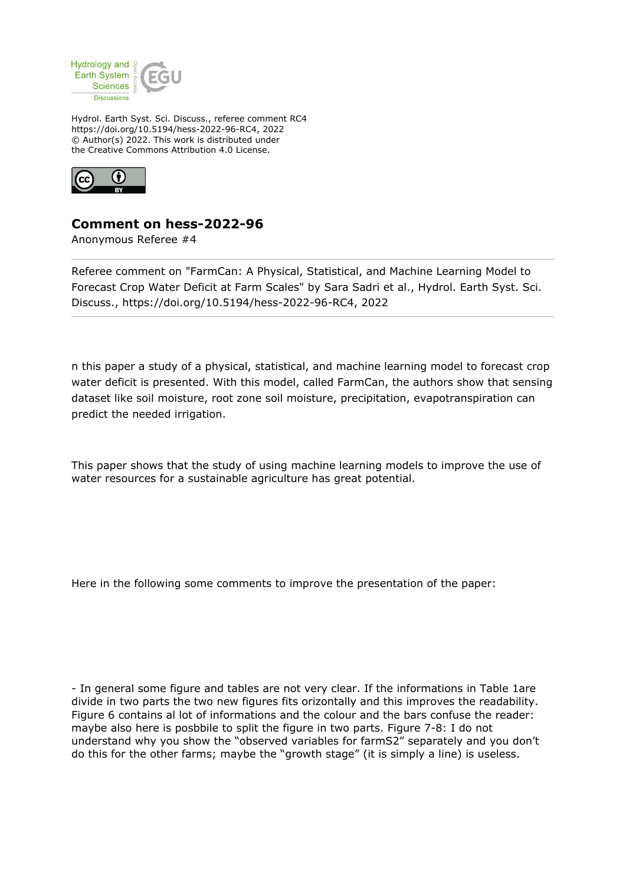

Hydrol. Earth Syst. Sci. Discuss., referee comment RC4 https://doi.org/10.5194/hess-2022-96-RC4, 2022 © Author(s) 2022. This work is distributed under the Creative Commons Attribution 4.0 License.



## **Comment on hess-2022-96**

Anonymous Referee #4

Referee comment on "FarmCan: A Physical, Statistical, and Machine Learning Model to Forecast Crop Water Deficit at Farm Scales" by Sara Sadri et al., Hydrol. Earth Syst. Sci. Discuss., https://doi.org/10.5194/hess-2022-96-RC4, 2022

n this paper a study of a physical, statistical, and machine learning model to forecast crop water deficit is presented. With this model, called FarmCan, the authors show that sensing dataset like soil moisture, root zone soil moisture, precipitation, evapotranspiration can predict the needed irrigation.

This paper shows that the study of using machine learning models to improve the use of water resources for a sustainable agriculture has great potential.

Here in the following some comments to improve the presentation of the paper:

- In general some figure and tables are not very clear. If the informations in Table 1are divide in two parts the two new figures fits orizontally and this improves the readability. Figure 6 contains al lot of informations and the colour and the bars confuse the reader: maybe also here is posbbile to split the figure in two parts. Figure 7-8: I do not understand why you show the "observed variables for farmS2" separately and you don't do this for the other farms; maybe the "growth stage" (it is simply a line) is useless.